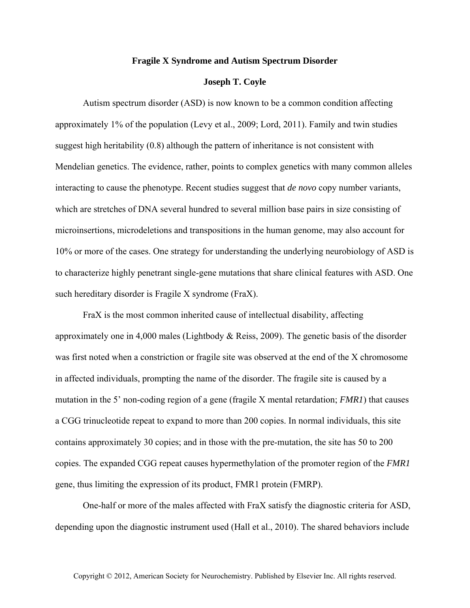## **Fragile X Syndrome and Autism Spectrum Disorder**

## **Joseph T. Coyle**

Autism spectrum disorder (ASD) is now known to be a common condition affecting approximately 1% of the population (Levy et al., 2009; Lord, 2011). Family and twin studies suggest high heritability (0.8) although the pattern of inheritance is not consistent with Mendelian genetics. The evidence, rather, points to complex genetics with many common alleles interacting to cause the phenotype. Recent studies suggest that *de novo* copy number variants, which are stretches of DNA several hundred to several million base pairs in size consisting of microinsertions, microdeletions and transpositions in the human genome, may also account for 10% or more of the cases. One strategy for understanding the underlying neurobiology of ASD is to characterize highly penetrant single-gene mutations that share clinical features with ASD. One such hereditary disorder is Fragile X syndrome (FraX).

FraX is the most common inherited cause of intellectual disability, affecting approximately one in 4,000 males (Lightbody & Reiss, 2009). The genetic basis of the disorder was first noted when a constriction or fragile site was observed at the end of the X chromosome in affected individuals, prompting the name of the disorder. The fragile site is caused by a mutation in the 5' non-coding region of a gene (fragile X mental retardation; *FMR1*) that causes a CGG trinucleotide repeat to expand to more than 200 copies. In normal individuals, this site contains approximately 30 copies; and in those with the pre-mutation, the site has 50 to 200 copies. The expanded CGG repeat causes hypermethylation of the promoter region of the *FMR1* gene, thus limiting the expression of its product, FMR1 protein (FMRP).

One-half or more of the males affected with FraX satisfy the diagnostic criteria for ASD, depending upon the diagnostic instrument used (Hall et al., 2010). The shared behaviors include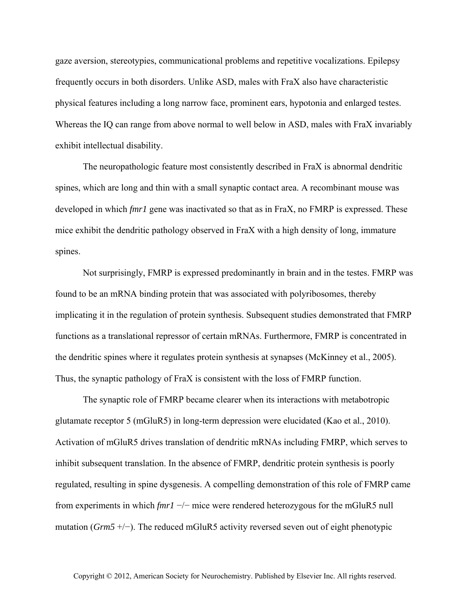gaze aversion, stereotypies, communicational problems and repetitive vocalizations. Epilepsy frequently occurs in both disorders. Unlike ASD, males with FraX also have characteristic physical features including a long narrow face, prominent ears, hypotonia and enlarged testes. Whereas the IQ can range from above normal to well below in ASD, males with FraX invariably exhibit intellectual disability.

The neuropathologic feature most consistently described in FraX is abnormal dendritic spines, which are long and thin with a small synaptic contact area. A recombinant mouse was developed in which *fmr1* gene was inactivated so that as in FraX, no FMRP is expressed. These mice exhibit the dendritic pathology observed in FraX with a high density of long, immature spines.

Not surprisingly, FMRP is expressed predominantly in brain and in the testes. FMRP was found to be an mRNA binding protein that was associated with polyribosomes, thereby implicating it in the regulation of protein synthesis. Subsequent studies demonstrated that FMRP functions as a translational repressor of certain mRNAs. Furthermore, FMRP is concentrated in the dendritic spines where it regulates protein synthesis at synapses (McKinney et al., 2005). Thus, the synaptic pathology of FraX is consistent with the loss of FMRP function.

The synaptic role of FMRP became clearer when its interactions with metabotropic glutamate receptor 5 (mGluR5) in long-term depression were elucidated (Kao et al., 2010). Activation of mGluR5 drives translation of dendritic mRNAs including FMRP, which serves to inhibit subsequent translation. In the absence of FMRP, dendritic protein synthesis is poorly regulated, resulting in spine dysgenesis. A compelling demonstration of this role of FMRP came from experiments in which *fmr1* −/− mice were rendered heterozygous for the mGluR5 null mutation (*Grm5* +/−). The reduced mGluR5 activity reversed seven out of eight phenotypic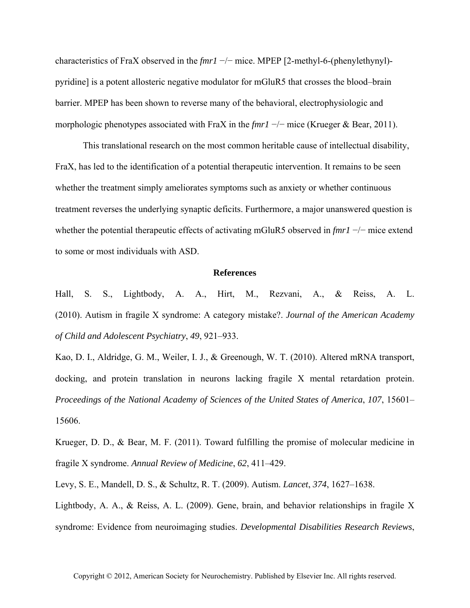characteristics of FraX observed in the *fmr1* −/− mice. MPEP [2-methyl-6-(phenylethynyl) pyridine] is a potent allosteric negative modulator for mGluR5 that crosses the blood–brain barrier. MPEP has been shown to reverse many of the behavioral, electrophysiologic and morphologic phenotypes associated with FraX in the *fmr1* −/− mice (Krueger & Bear, 2011).

This translational research on the most common heritable cause of intellectual disability, FraX, has led to the identification of a potential therapeutic intervention. It remains to be seen whether the treatment simply ameliorates symptoms such as anxiety or whether continuous treatment reverses the underlying synaptic deficits. Furthermore, a major unanswered question is whether the potential therapeutic effects of activating mGluR5 observed in *fmr1* −/− mice extend to some or most individuals with ASD.

## **References**

Hall, S. S., Lightbody, A. A., Hirt, M., Rezvani, A., & Reiss, A. L. (2010). Autism in fragile X syndrome: A category mistake?. *Journal of the American Academy of Child and Adolescent Psychiatry*, *49*, 921–933.

Kao, D. I., Aldridge, G. M., Weiler, I. J., & Greenough, W. T. (2010). Altered mRNA transport, docking, and protein translation in neurons lacking fragile X mental retardation protein. *Proceedings of the National Academy of Sciences of the United States of America*, *107*, 15601– 15606.

Krueger, D. D., & Bear, M. F. (2011). Toward fulfilling the promise of molecular medicine in fragile X syndrome. *Annual Review of Medicine*, *62*, 411–429.

Levy, S. E., Mandell, D. S., & Schultz, R. T. (2009). Autism. *Lancet*, *374*, 1627–1638.

Lightbody, A. A., & Reiss, A. L. (2009). Gene, brain, and behavior relationships in fragile X syndrome: Evidence from neuroimaging studies. *Developmental Disabilities Research Reviews*,